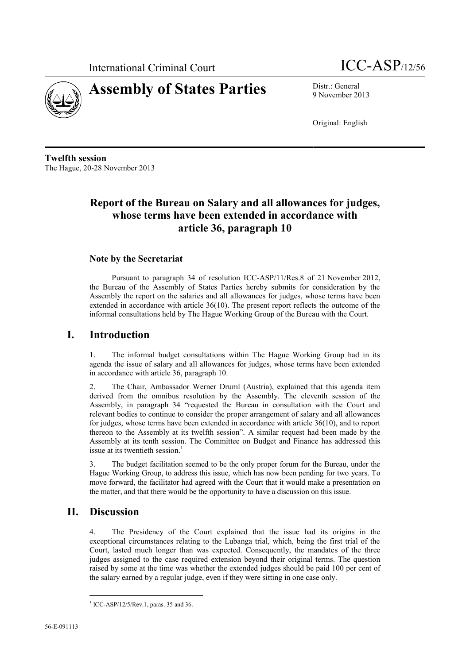



9 November 2013

Original: English

**Twelfth session** The Hague, 20-28 November 2013

# **Report of the Bureau on Salary and all allowances for judges, whose terms have been extended in accordance with article 36, paragraph 10**

### **Note by the Secretariat**

Pursuant to paragraph 34 of resolution ICC-ASP/11/Res.8 of 21 November 2012, the Bureau of the Assembly of States Parties hereby submits for consideration by the Assembly the report on the salaries and all allowances for judges, whose terms have been extended in accordance with article 36(10). The present report reflects the outcome of the informal consultations held by The Hague Working Group of the Bureau with the Court.

### **I. Introduction**

1. The informal budget consultations within The Hague Working Group had in its agenda the issue of salary and all allowances for judges, whose terms have been extended in accordance with article 36, paragraph 10.

2. The Chair, Ambassador Werner Druml (Austria), explained that this agenda item derived from the omnibus resolution by the Assembly. The eleventh session of the Assembly, in paragraph 34 "requested the Bureau in consultation with the Court and relevant bodies to continue to consider the proper arrangement of salary and all allowances for judges, whose terms have been extended in accordance with article 36(10), and to report thereon to the Assembly at its twelfth session". A similar request had been made by the Assembly at its tenth session. The Committee on Budget and Finance has addressed this issue at its twentieth session.<sup>1</sup>

3. The budget facilitation seemed to be the only proper forum for the Bureau, under the Hague Working Group, to address this issue, which has now been pending for two years. To move forward, the facilitator had agreed with the Court that it would make a presentation on the matter, and that there would be the opportunity to have a discussion on this issue.

## **II. Discussion**

4. The Presidency of the Court explained that the issue had its origins in the exceptional circumstances relating to the Lubanga trial, which, being the first trial of the Court, lasted much longer than was expected. Consequently, the mandates of the three judges assigned to the case required extension beyond their original terms. The question raised by some at the time was whether the extended judges should be paid 100 per cent of the salary earned by a regular judge, even if they were sitting in one case only.

<sup>&</sup>lt;sup>1</sup> ICC-ASP/12/5/Rev.1, paras. 35 and 36.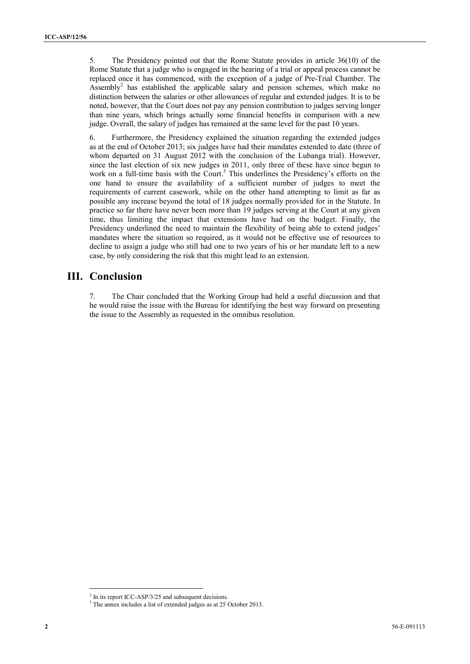5. The Presidency pointed out that the Rome Statute provides in article 36(10) of the Rome Statute that a judge who is engaged in the hearing of a trial or appeal process cannot be replaced once it has commenced, with the exception of a judge of Pre-Trial Chamber. The Assembly<sup>2</sup> has established the applicable salary and pension schemes, which make no distinction between the salaries or other allowances of regular and extended judges. It is to be noted, however, that the Court does not pay any pension contribution to judges serving longer than nine years, which brings actually some financial benefits in comparison with a new judge. Overall, the salary of judges has remained at the same level for the past 10 years.

6. Furthermore, the Presidency explained the situation regarding the extended judges as at the end of October 2013; six judges have had their mandates extended to date (three of whom departed on 31 August 2012 with the conclusion of the Lubanga trial). However, since the last election of six new judges in 2011, only three of these have since begun to work on a full-time basis with the Court.<sup>3</sup> This underlines the Presidency's efforts on the one hand to ensure the availability of a sufficient number of judges to meet the requirements of current casework, while on the other hand attempting to limit as far as possible any increase beyond the total of 18 judges normally provided for in the Statute. In practice so far there have never been more than 19 judges serving at the Court at any given time, thus limiting the impact that extensions have had on the budget. Finally, the Presidency underlined the need to maintain the flexibility of being able to extend judges' mandates where the situation so required, as it would not be effective use of resources to decline to assign a judge who still had one to two years of his or her mandate left to a new case, by only considering the risk that this might lead to an extension.

## **III. Conclusion**

7. The Chair concluded that the Working Group had held a useful discussion and that he would raise the issue with the Bureau for identifying the best way forward on presenting the issue to the Assembly as requested in the omnibus resolution.

 $2 \text{ In its report ICC-ASP/3/25 and subsequent decisions.}$ <br> $3 \text{ The annex includes a list of extended judges as at 25 October 2013.}$